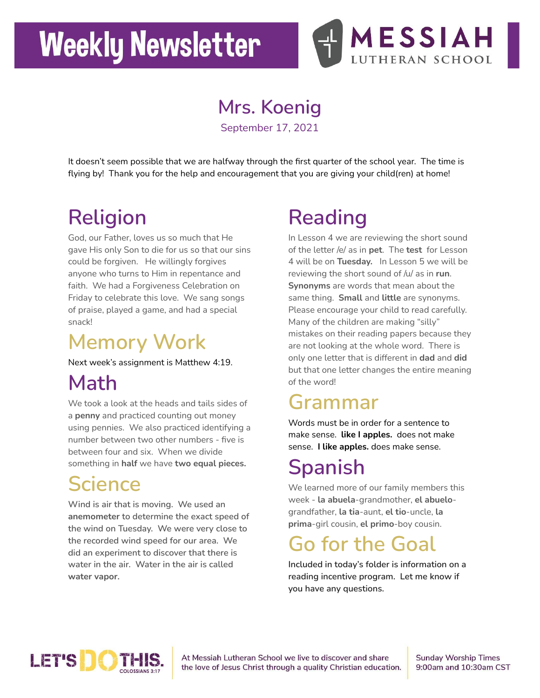# **Weekly Newsletter**



#### **Mrs. Koenig**

September 17, 2021

It doesn't seem possible that we are halfway through the first quarter of the school year. The time is flying by! Thank you for the help and encouragement that you are giving your child(ren) at home!

## **Religion**

God, our Father, loves us so much that He gave His only Son to die for us so that our sins could be forgiven. He willingly forgives anyone who turns to Him in repentance and faith. We had a Forgiveness Celebration on Friday to celebrate this love. We sang songs of praise, played a game, and had a special snack!

#### **Memory Work**

Next week's assignment is Matthew 4:19.

### **Math**

We took a look at the heads and tails sides of a **penny** and practiced counting out money using pennies. We also practiced identifying a number between two other numbers - five is between four and six. When we divide something in **half** we have **two equal pieces.**

#### **Science**

**Wind is air that is moving. We used an anemometer to determine the exact speed of the wind on Tuesday. We were very close to the recorded wind speed for our area. We did an experiment to discover that there is water in the air. Water in the air is called water vapor.**

## **Reading**

In Lesson 4 we are reviewing the short sound of the letter /e/ as in **pet**. The **test** for Lesson 4 will be on **Tuesday.** In Lesson 5 we will be reviewing the short sound of /u/ as in **run**. **Synonyms** are words that mean about the same thing. **Small** and **little** are synonyms. Please encourage your child to read carefully. Many of the children are making "silly" mistakes on their reading papers because they are not looking at the whole word. There is only one letter that is different in **dad** and **did** but that one letter changes the entire meaning of the word!

### **Grammar**

Words must be in order for a sentence to make sense. **like I apples.** does not make sense. **I like apples.** does make sense.

## **Spanish**

We learned more of our family members this week - **la abuela**-grandmother, **el abuelo**grandfather, **la tia**-aunt, **el tio**-uncle, **la prima**-girl cousin, **el primo**-boy cousin.

### **Go for the Goal**

**Included in today's folder is information on a reading incentive program. Let me know if you have any questions.**



At Messiah Lutheran School we live to discover and share the love of Jesus Christ through a quality Christian education. **Sunday Worship Times** 9:00am and 10:30am CST